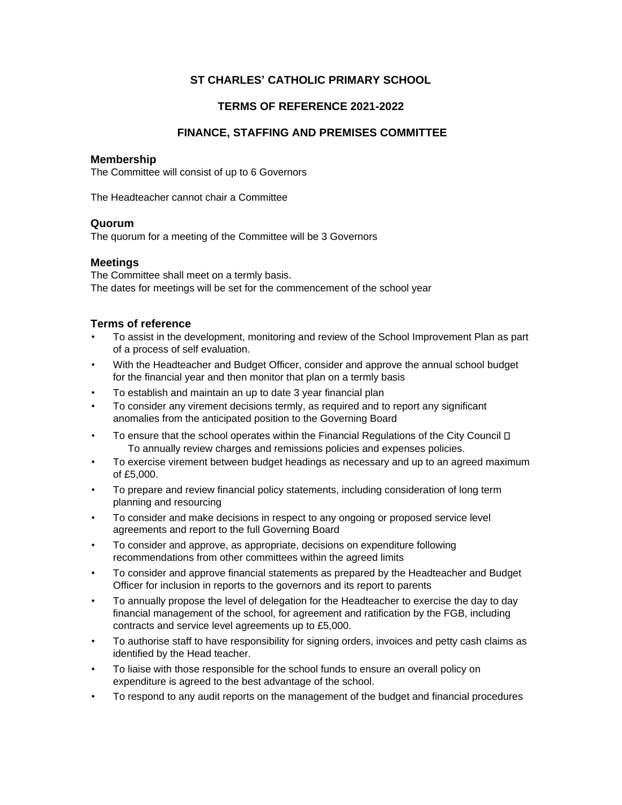## **ST CHARLES' CATHOLIC PRIMARY SCHOOL**

## **TERMS OF REFERENCE 2021-2022**

### **FINANCE, STAFFING AND PREMISES COMMITTEE**

### **Membership**

The Committee will consist of up to 6 Governors

The Headteacher cannot chair a Committee

#### **Quorum**

The quorum for a meeting of the Committee will be 3 Governors

### **Meetings**

The Committee shall meet on a termly basis. The dates for meetings will be set for the commencement of the school year

### **Terms of reference**

- To assist in the development, monitoring and review of the School Improvement Plan as part of a process of self evaluation.
- With the Headteacher and Budget Officer, consider and approve the annual school budget for the financial year and then monitor that plan on a termly basis
- To establish and maintain an up to date 3 year financial plan
- To consider any virement decisions termly, as required and to report any significant anomalies from the anticipated position to the Governing Board
- To ensure that the school operates within the Financial Regulations of the City Council  $\Box$ To annually review charges and remissions policies and expenses policies.
- To exercise virement between budget headings as necessary and up to an agreed maximum of £5,000.
- To prepare and review financial policy statements, including consideration of long term planning and resourcing
- To consider and make decisions in respect to any ongoing or proposed service level agreements and report to the full Governing Board
- To consider and approve, as appropriate, decisions on expenditure following recommendations from other committees within the agreed limits
- To consider and approve financial statements as prepared by the Headteacher and Budget Officer for inclusion in reports to the governors and its report to parents
- To annually propose the level of delegation for the Headteacher to exercise the day to day financial management of the school, for agreement and ratification by the FGB, including contracts and service level agreements up to £5,000.
- To authorise staff to have responsibility for signing orders, invoices and petty cash claims as identified by the Head teacher.
- To liaise with those responsible for the school funds to ensure an overall policy on expenditure is agreed to the best advantage of the school.
- To respond to any audit reports on the management of the budget and financial procedures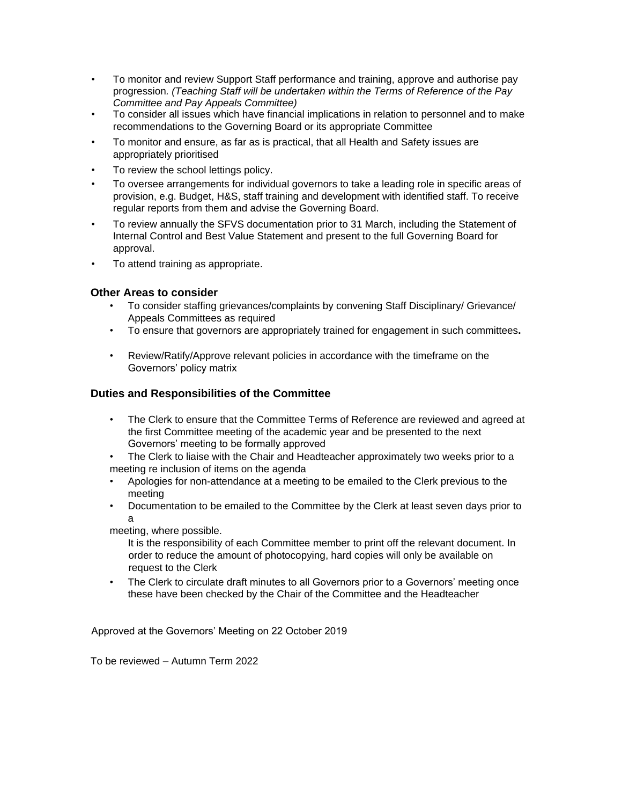- To monitor and review Support Staff performance and training, approve and authorise pay progression*. (Teaching Staff will be undertaken within the Terms of Reference of the Pay Committee and Pay Appeals Committee)*
- To consider all issues which have financial implications in relation to personnel and to make recommendations to the Governing Board or its appropriate Committee
- To monitor and ensure, as far as is practical, that all Health and Safety issues are appropriately prioritised
- To review the school lettings policy.
- To oversee arrangements for individual governors to take a leading role in specific areas of provision, e.g. Budget, H&S, staff training and development with identified staff. To receive regular reports from them and advise the Governing Board.
- To review annually the SFVS documentation prior to 31 March, including the Statement of Internal Control and Best Value Statement and present to the full Governing Board for approval.
- To attend training as appropriate.

### **Other Areas to consider**

- To consider staffing grievances/complaints by convening Staff Disciplinary/ Grievance/ Appeals Committees as required
- To ensure that governors are appropriately trained for engagement in such committees**.**
- Review/Ratify/Approve relevant policies in accordance with the timeframe on the Governors' policy matrix

## **Duties and Responsibilities of the Committee**

- The Clerk to ensure that the Committee Terms of Reference are reviewed and agreed at the first Committee meeting of the academic year and be presented to the next Governors' meeting to be formally approved
- The Clerk to liaise with the Chair and Headteacher approximately two weeks prior to a meeting re inclusion of items on the agenda
- Apologies for non-attendance at a meeting to be emailed to the Clerk previous to the meeting
- Documentation to be emailed to the Committee by the Clerk at least seven days prior to a

meeting, where possible.

It is the responsibility of each Committee member to print off the relevant document. In order to reduce the amount of photocopying, hard copies will only be available on request to the Clerk

• The Clerk to circulate draft minutes to all Governors prior to a Governors' meeting once these have been checked by the Chair of the Committee and the Headteacher

Approved at the Governors' Meeting on 22 October 2019

To be reviewed – Autumn Term 2022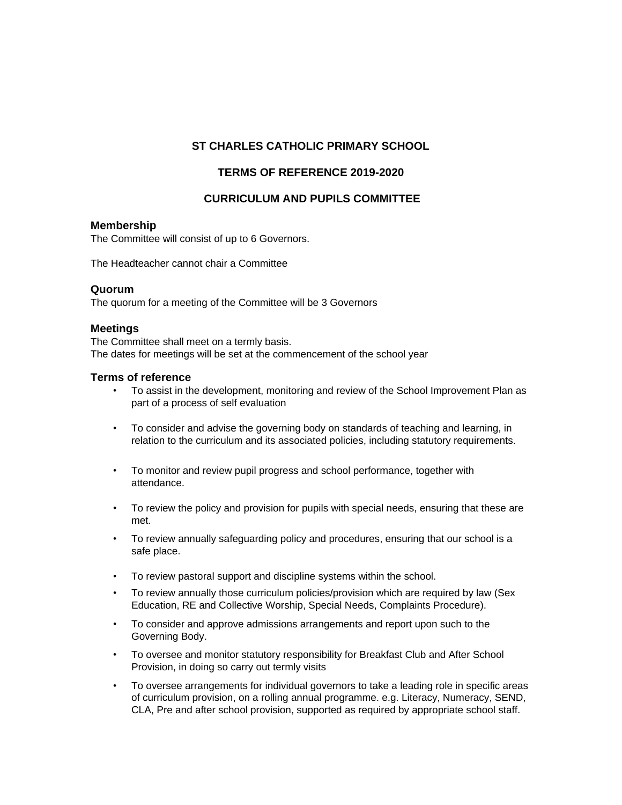## **ST CHARLES CATHOLIC PRIMARY SCHOOL**

## **TERMS OF REFERENCE 2019-2020**

## **CURRICULUM AND PUPILS COMMITTEE**

#### **Membership**

The Committee will consist of up to 6 Governors.

The Headteacher cannot chair a Committee

#### **Quorum**

The quorum for a meeting of the Committee will be 3 Governors

### **Meetings**

The Committee shall meet on a termly basis. The dates for meetings will be set at the commencement of the school year

### **Terms of reference**

- To assist in the development, monitoring and review of the School Improvement Plan as part of a process of self evaluation
- To consider and advise the governing body on standards of teaching and learning, in relation to the curriculum and its associated policies, including statutory requirements.
- To monitor and review pupil progress and school performance, together with attendance.
- To review the policy and provision for pupils with special needs, ensuring that these are met.
- To review annually safeguarding policy and procedures, ensuring that our school is a safe place.
- To review pastoral support and discipline systems within the school.
- To review annually those curriculum policies/provision which are required by law (Sex Education, RE and Collective Worship, Special Needs, Complaints Procedure).
- To consider and approve admissions arrangements and report upon such to the Governing Body.
- To oversee and monitor statutory responsibility for Breakfast Club and After School Provision, in doing so carry out termly visits
- To oversee arrangements for individual governors to take a leading role in specific areas of curriculum provision, on a rolling annual programme. e.g. Literacy, Numeracy, SEND, CLA, Pre and after school provision, supported as required by appropriate school staff.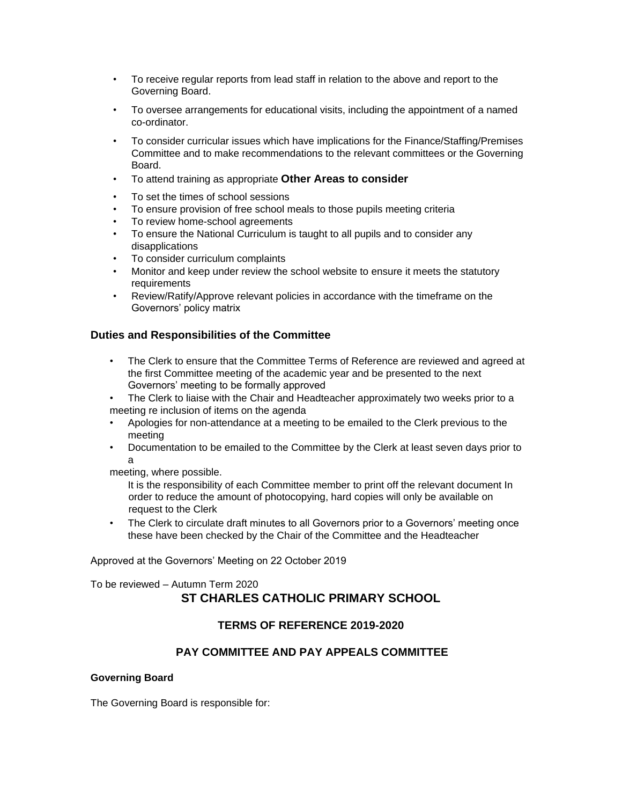- To receive regular reports from lead staff in relation to the above and report to the Governing Board.
- To oversee arrangements for educational visits, including the appointment of a named co-ordinator.
- To consider curricular issues which have implications for the Finance/Staffing/Premises Committee and to make recommendations to the relevant committees or the Governing Board.
- To attend training as appropriate **Other Areas to consider**
- To set the times of school sessions
- To ensure provision of free school meals to those pupils meeting criteria
- To review home-school agreements
- To ensure the National Curriculum is taught to all pupils and to consider any disapplications
- To consider curriculum complaints
- Monitor and keep under review the school website to ensure it meets the statutory requirements
- Review/Ratify/Approve relevant policies in accordance with the timeframe on the Governors' policy matrix

### **Duties and Responsibilities of the Committee**

- The Clerk to ensure that the Committee Terms of Reference are reviewed and agreed at the first Committee meeting of the academic year and be presented to the next Governors' meeting to be formally approved
- The Clerk to liaise with the Chair and Headteacher approximately two weeks prior to a meeting re inclusion of items on the agenda
- Apologies for non-attendance at a meeting to be emailed to the Clerk previous to the meeting
- Documentation to be emailed to the Committee by the Clerk at least seven days prior to a

meeting, where possible.

It is the responsibility of each Committee member to print off the relevant document In order to reduce the amount of photocopying, hard copies will only be available on request to the Clerk

• The Clerk to circulate draft minutes to all Governors prior to a Governors' meeting once these have been checked by the Chair of the Committee and the Headteacher

Approved at the Governors' Meeting on 22 October 2019

To be reviewed – Autumn Term 2020

# **ST CHARLES CATHOLIC PRIMARY SCHOOL**

## **TERMS OF REFERENCE 2019-2020**

## **PAY COMMITTEE AND PAY APPEALS COMMITTEE**

#### **Governing Board**

The Governing Board is responsible for: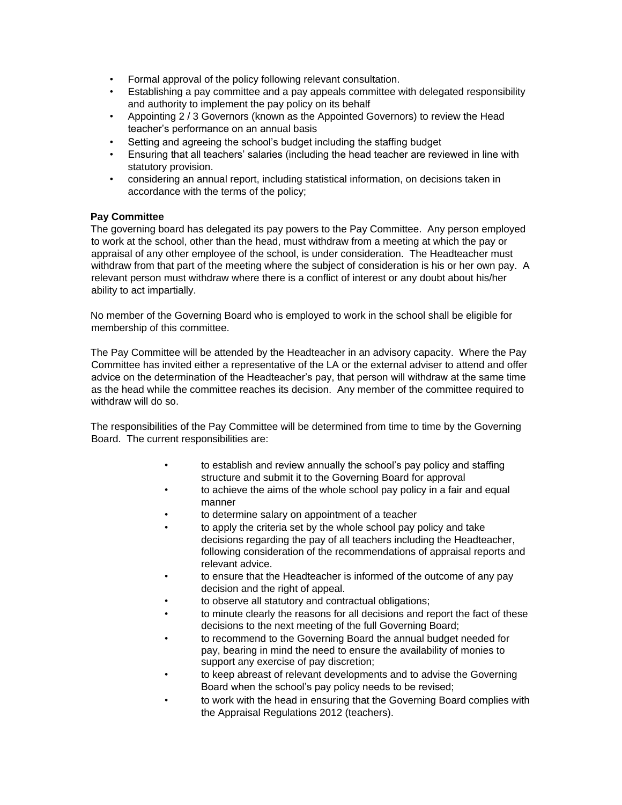- Formal approval of the policy following relevant consultation.
- Establishing a pay committee and a pay appeals committee with delegated responsibility and authority to implement the pay policy on its behalf
- Appointing 2 / 3 Governors (known as the Appointed Governors) to review the Head teacher's performance on an annual basis
- Setting and agreeing the school's budget including the staffing budget
- Ensuring that all teachers' salaries (including the head teacher are reviewed in line with statutory provision.
- considering an annual report, including statistical information, on decisions taken in accordance with the terms of the policy;

#### **Pay Committee**

The governing board has delegated its pay powers to the Pay Committee. Any person employed to work at the school, other than the head, must withdraw from a meeting at which the pay or appraisal of any other employee of the school, is under consideration. The Headteacher must withdraw from that part of the meeting where the subject of consideration is his or her own pay. A relevant person must withdraw where there is a conflict of interest or any doubt about his/her ability to act impartially.

No member of the Governing Board who is employed to work in the school shall be eligible for membership of this committee.

The Pay Committee will be attended by the Headteacher in an advisory capacity. Where the Pay Committee has invited either a representative of the LA or the external adviser to attend and offer advice on the determination of the Headteacher's pay, that person will withdraw at the same time as the head while the committee reaches its decision. Any member of the committee required to withdraw will do so.

The responsibilities of the Pay Committee will be determined from time to time by the Governing Board. The current responsibilities are:

- to establish and review annually the school's pay policy and staffing structure and submit it to the Governing Board for approval
- to achieve the aims of the whole school pay policy in a fair and equal manner
- to determine salary on appointment of a teacher
- to apply the criteria set by the whole school pay policy and take decisions regarding the pay of all teachers including the Headteacher, following consideration of the recommendations of appraisal reports and relevant advice.
- to ensure that the Headteacher is informed of the outcome of any pay decision and the right of appeal.
- to observe all statutory and contractual obligations;
- to minute clearly the reasons for all decisions and report the fact of these decisions to the next meeting of the full Governing Board;
- to recommend to the Governing Board the annual budget needed for pay, bearing in mind the need to ensure the availability of monies to support any exercise of pay discretion;
- to keep abreast of relevant developments and to advise the Governing Board when the school's pay policy needs to be revised;
- to work with the head in ensuring that the Governing Board complies with the Appraisal Regulations 2012 (teachers).